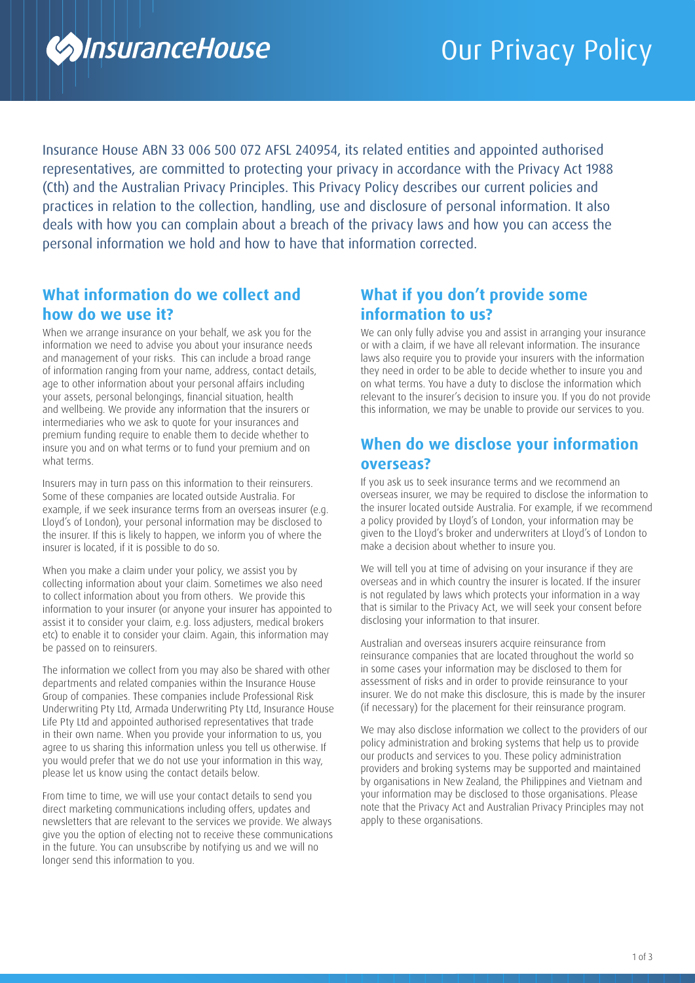

Insurance House ABN 33 006 500 072 AFSL 240954, its related entities and appointed authorised representatives, are committed to protecting your privacy in accordance with the Privacy Act 1988 (Cth) and the Australian Privacy Principles. This Privacy Policy describes our current policies and practices in relation to the collection, handling, use and disclosure of personal information. It also deals with how you can complain about a breach of the privacy laws and how you can access the personal information we hold and how to have that information corrected.

# **What information do we collect and how do we use it?**

When we arrange insurance on your behalf, we ask you for the information we need to advise you about your insurance needs and management of your risks. This can include a broad range of information ranging from your name, address, contact details, age to other information about your personal affairs including your assets, personal belongings, financial situation, health and wellbeing. We provide any information that the insurers or intermediaries who we ask to quote for your insurances and premium funding require to enable them to decide whether to insure you and on what terms or to fund your premium and on what terms.

Insurers may in turn pass on this information to their reinsurers. Some of these companies are located outside Australia. For example, if we seek insurance terms from an overseas insurer (e.g. Lloyd's of London), your personal information may be disclosed to the insurer. If this is likely to happen, we inform you of where the insurer is located, if it is possible to do so.

When you make a claim under your policy, we assist you by collecting information about your claim. Sometimes we also need to collect information about you from others. We provide this information to your insurer (or anyone your insurer has appointed to assist it to consider your claim, e.g. loss adjusters, medical brokers etc) to enable it to consider your claim. Again, this information may be passed on to reinsurers.

The information we collect from you may also be shared with other departments and related companies within the Insurance House Group of companies. These companies include Professional Risk Underwriting Pty Ltd, Armada Underwriting Pty Ltd, Insurance House Life Pty Ltd and appointed authorised representatives that trade in their own name. When you provide your information to us, you agree to us sharing this information unless you tell us otherwise. If you would prefer that we do not use your information in this way, please let us know using the contact details below.

From time to time, we will use your contact details to send you direct marketing communications including offers, updates and newsletters that are relevant to the services we provide. We always give you the option of electing not to receive these communications in the future. You can unsubscribe by notifying us and we will no longer send this information to you.

## **What if you don't provide some information to us?**

We can only fully advise you and assist in arranging your insurance or with a claim, if we have all relevant information. The insurance laws also require you to provide your insurers with the information they need in order to be able to decide whether to insure you and on what terms. You have a duty to disclose the information which relevant to the insurer's decision to insure you. If you do not provide this information, we may be unable to provide our services to you.

## **When do we disclose your information overseas?**

If you ask us to seek insurance terms and we recommend an overseas insurer, we may be required to disclose the information to the insurer located outside Australia. For example, if we recommend a policy provided by Lloyd's of London, your information may be given to the Lloyd's broker and underwriters at Lloyd's of London to make a decision about whether to insure you.

We will tell you at time of advising on your insurance if they are overseas and in which country the insurer is located. If the insurer is not regulated by laws which protects your information in a way that is similar to the Privacy Act, we will seek your consent before disclosing your information to that insurer.

Australian and overseas insurers acquire reinsurance from reinsurance companies that are located throughout the world so in some cases your information may be disclosed to them for assessment of risks and in order to provide reinsurance to your insurer. We do not make this disclosure, this is made by the insurer (if necessary) for the placement for their reinsurance program.

We may also disclose information we collect to the providers of our policy administration and broking systems that help us to provide our products and services to you. These policy administration providers and broking systems may be supported and maintained by organisations in New Zealand, the Philippines and Vietnam and your information may be disclosed to those organisations. Please note that the Privacy Act and Australian Privacy Principles may not apply to these organisations.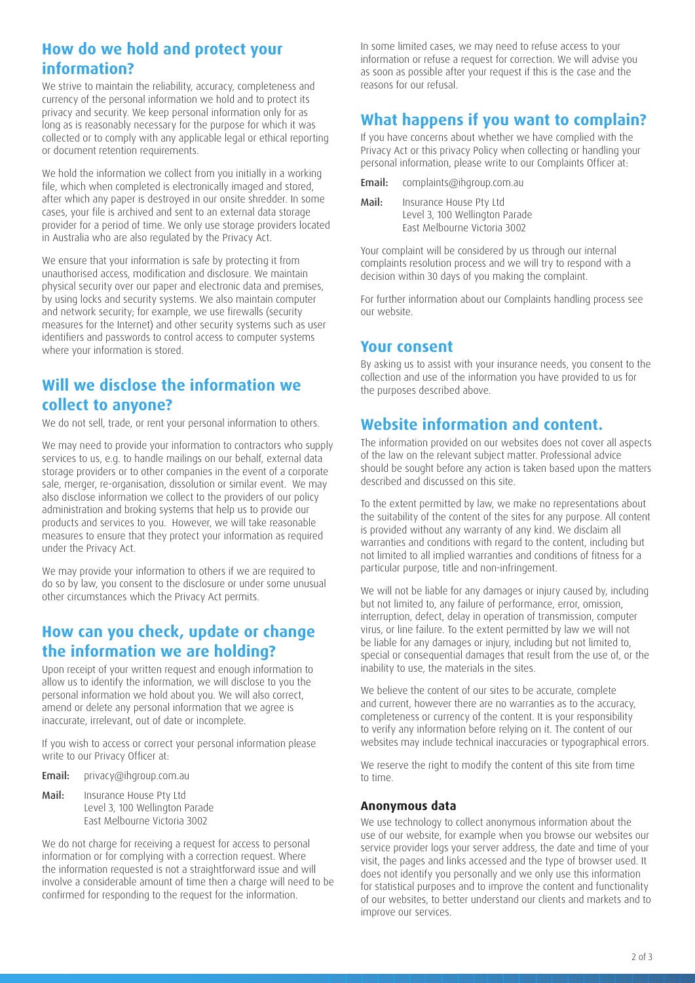# **How do we hold and protect your information?**

We strive to maintain the reliability, accuracy, completeness and currency of the personal information we hold and to protect its privacy and security. We keep personal information only for as long as is reasonably necessary for the purpose for which it was collected or to comply with any applicable legal or ethical reporting or document retention requirements.

We hold the information we collect from you initially in a working file, which when completed is electronically imaged and stored, after which any paper is destroyed in our onsite shredder. In some cases, your file is archived and sent to an external data storage provider for a period of time. We only use storage providers located in Australia who are also regulated by the Privacy Act.

We ensure that your information is safe by protecting it from unauthorised access, modification and disclosure. We maintain physical security over our paper and electronic data and premises, by using locks and security systems. We also maintain computer and network security; for example, we use firewalls (security measures for the Internet) and other security systems such as user identifiers and passwords to control access to computer systems where your information is stored.

# **Will we disclose the information we collect to anyone?**

We do not sell, trade, or rent your personal information to others.

We may need to provide your information to contractors who supply services to us, e.g. to handle mailings on our behalf, external data storage providers or to other companies in the event of a corporate sale, merger, re-organisation, dissolution or similar event. We may also disclose information we collect to the providers of our policy administration and broking systems that help us to provide our products and services to you. However, we will take reasonable measures to ensure that they protect your information as required under the Privacy Act.

We may provide your information to others if we are required to do so by law, you consent to the disclosure or under some unusual other circumstances which the Privacy Act permits.

## **How can you check, update or change the information we are holding?**

Upon receipt of your written request and enough information to allow us to identify the information, we will disclose to you the personal information we hold about you. We will also correct, amend or delete any personal information that we agree is inaccurate, irrelevant, out of date or incomplete.

If you wish to access or correct your personal information please write to our Privacy Officer at:

Email: [privacy@ihgroup.com.au](mailto:privacy%40ihgroup.com.au?subject=)

Mail: Insurance House Pty Ltd Level 3, 100 Wellington Parade East Melbourne Victoria 3002

We do not charge for receiving a request for access to personal information or for complying with a correction request. Where the information requested is not a straightforward issue and will involve a considerable amount of time then a charge will need to be confirmed for responding to the request for the information.

In some limited cases, we may need to refuse access to your information or refuse a request for correction. We will advise you as soon as possible after your request if this is the case and the reasons for our refusal.

## **What happens if you want to complain?**

If you have concerns about whether we have complied with the Privacy Act or this privacy Policy when collecting or handling your personal information, please write to our Complaints Officer at:

Email: [complaints@ihgroup.com.au](mailto:complaints%40ihgroup.com.au?subject=) 

| Mail: | Insurance House Pty Ltd        |
|-------|--------------------------------|
|       | Level 3, 100 Wellington Parade |
|       | East Melbourne Victoria 3002   |

Your complaint will be considered by us through our internal complaints resolution process and we will try to respond with a decision within 30 days of you making the complaint.

For further information about our Complaints handling process see our website.

## **Your consent**

By asking us to assist with your insurance needs, you consent to the collection and use of the information you have provided to us for the purposes described above.

## **Website information and content.**

The information provided on our websites does not cover all aspects of the law on the relevant subject matter. Professional advice should be sought before any action is taken based upon the matters described and discussed on this site.

To the extent permitted by law, we make no representations about the suitability of the content of the sites for any purpose. All content is provided without any warranty of any kind. We disclaim all warranties and conditions with regard to the content, including but not limited to all implied warranties and conditions of fitness for a particular purpose, title and non-infringement.

We will not be liable for any damages or injury caused by, including but not limited to, any failure of performance, error, omission, interruption, defect, delay in operation of transmission, computer virus, or line failure. To the extent permitted by law we will not be liable for any damages or injury, including but not limited to, special or consequential damages that result from the use of, or the inability to use, the materials in the sites.

We believe the content of our sites to be accurate, complete and current, however there are no warranties as to the accuracy, completeness or currency of the content. It is your responsibility to verify any information before relying on it. The content of our websites may include technical inaccuracies or typographical errors.

We reserve the right to modify the content of this site from time to time.

#### **Anonymous data**

We use technology to collect anonymous information about the use of our website, for example when you browse our websites our service provider logs your server address, the date and time of your visit, the pages and links accessed and the type of browser used. It does not identify you personally and we only use this information for statistical purposes and to improve the content and functionality of our websites, to better understand our clients and markets and to improve our services.